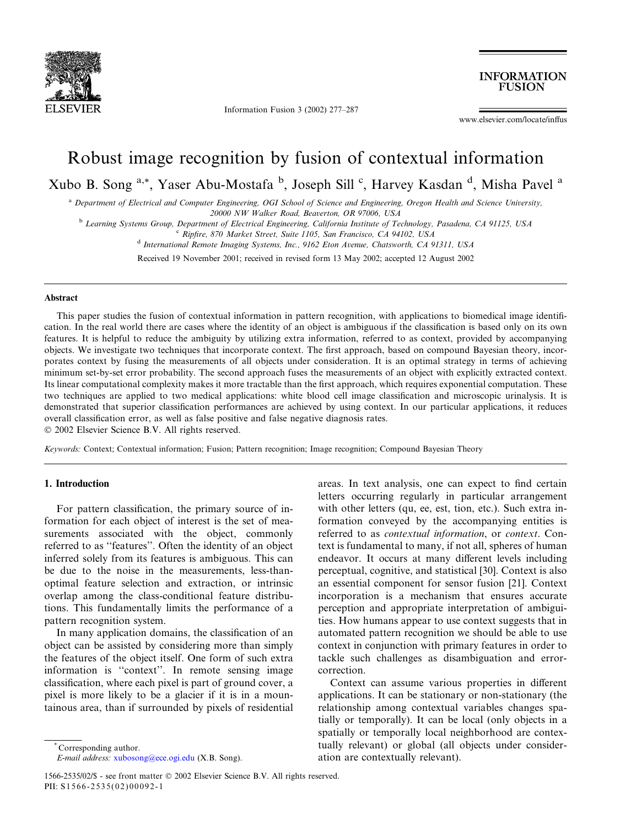

Information Fusion 3 (2002) 277–287

**INFORMATION FUSION** 

www.elsevier.com/locate/inffus

# Robust image recognition by fusion of contextual information

Xubo B. Song <sup>a,\*</sup>, Yaser Abu-Mostafa <sup>b</sup>, Joseph Sill <sup>c</sup>, Harvey Kasdan <sup>d</sup>, Misha Pavel <sup>a</sup>

a Department of Electrical and Computer Engineering, OGI School of Science and Engineering, Oregon Health and Science University, 20000 NW Walker Road, Beaverton, OR 97006, USA

<sup>b</sup> Learning Systems Group, Department of Electrical Engineering, California Institute of Technology, Pasadena, CA 91125, USA

<sup>c</sup> Ripfire, 870 Market Street, Suite 1105, San Francisco, CA 94102, USA

<sup>d</sup> International Remote Imaging Systems, Inc., 9162 Eton Avenue, Chatsworth, CA 91311, USA

Received 19 November 2001; received in revised form 13 May 2002; accepted 12 August 2002

# Abstract

This paper studies the fusion of contextual information in pattern recognition, with applications to biomedical image identification. In the real world there are cases where the identity of an object is ambiguous if the classification is based only on its own features. It is helpful to reduce the ambiguity by utilizing extra information, referred to as context, provided by accompanying objects. We investigate two techniques that incorporate context. The first approach, based on compound Bayesian theory, incorporates context by fusing the measurements of all objects under consideration. It is an optimal strategy in terms of achieving minimum set-by-set error probability. The second approach fuses the measurements of an object with explicitly extracted context. Its linear computational complexity makes it more tractable than the first approach, which requires exponential computation. These two techniques are applied to two medical applications: white blood cell image classification and microscopic urinalysis. It is demonstrated that superior classification performances are achieved by using context. In our particular applications, it reduces overall classification error, as well as false positive and false negative diagnosis rates.

2002 Elsevier Science B.V. All rights reserved.

Keywords: Context; Contextual information; Fusion; Pattern recognition; Image recognition; Compound Bayesian Theory

# 1. Introduction

For pattern classification, the primary source of information for each object of interest is the set of measurements associated with the object, commonly referred to as ''features''. Often the identity of an object inferred solely from its features is ambiguous. This can be due to the noise in the measurements, less-thanoptimal feature selection and extraction, or intrinsic overlap among the class-conditional feature distributions. This fundamentally limits the performance of a pattern recognition system.

In many application domains, the classification of an object can be assisted by considering more than simply the features of the object itself. One form of such extra information is ''context''. In remote sensing image classification, where each pixel is part of ground cover, a pixel is more likely to be a glacier if it is in a mountainous area, than if surrounded by pixels of residential

areas. In text analysis, one can expect to find certain letters occurring regularly in particular arrangement with other letters (qu, ee, est, tion, etc.). Such extra information conveyed by the accompanying entities is referred to as contextual information, or context. Context is fundamental to many, if not all, spheres of human endeavor. It occurs at many different levels including perceptual, cognitive, and statistical [30]. Context is also an essential component for sensor fusion [21]. Context incorporation is a mechanism that ensures accurate perception and appropriate interpretation of ambiguities. How humans appear to use context suggests that in automated pattern recognition we should be able to use context in conjunction with primary features in order to tackle such challenges as disambiguation and errorcorrection.

Context can assume various properties in different applications. It can be stationary or non-stationary (the relationship among contextual variables changes spatially or temporally). It can be local (only objects in a spatially or temporally local neighborhood are contextually relevant) or global (all objects under consideration are contextually relevant).

<sup>\*</sup> Corresponding author.

E-mail address: [xubosong@ece.ogi.edu](mail to: xubosong@ece.ogi.edu) (X.B. Song).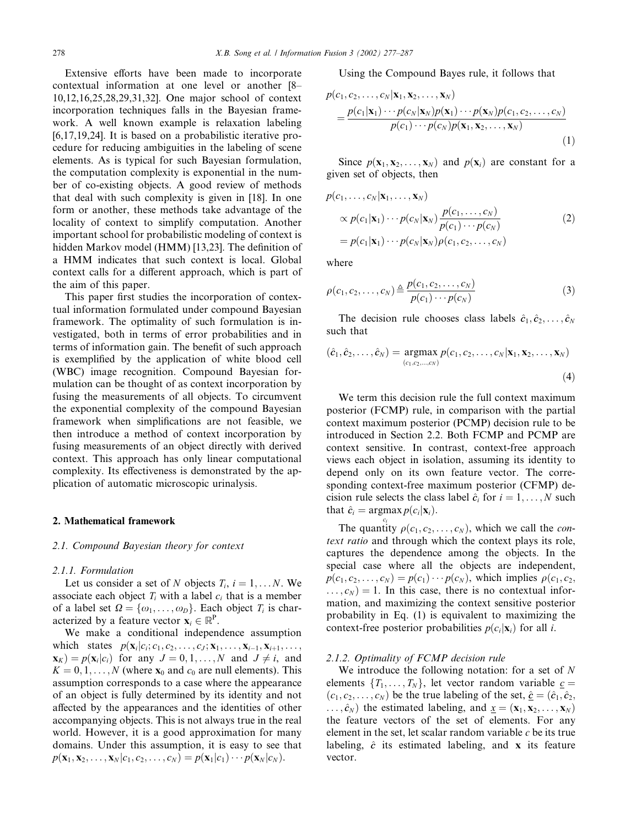Extensive efforts have been made to incorporate contextual information at one level or another [8– 10,12,16,25,28,29,31,32]. One major school of context incorporation techniques falls in the Bayesian framework. A well known example is relaxation labeling [6,17,19,24]. It is based on a probabilistic iterative procedure for reducing ambiguities in the labeling of scene elements. As is typical for such Bayesian formulation, the computation complexity is exponential in the number of co-existing objects. A good review of methods that deal with such complexity is given in [18]. In one form or another, these methods take advantage of the locality of context to simplify computation. Another important school for probabilistic modeling of context is hidden Markov model (HMM) [13,23]. The definition of a HMM indicates that such context is local. Global context calls for a different approach, which is part of the aim of this paper.

This paper first studies the incorporation of contextual information formulated under compound Bayesian framework. The optimality of such formulation is investigated, both in terms of error probabilities and in terms of information gain. The benefit of such approach is exemplified by the application of white blood cell (WBC) image recognition. Compound Bayesian formulation can be thought of as context incorporation by fusing the measurements of all objects. To circumvent the exponential complexity of the compound Bayesian framework when simplifications are not feasible, we then introduce a method of context incorporation by fusing measurements of an object directly with derived context. This approach has only linear computational complexity. Its effectiveness is demonstrated by the application of automatic microscopic urinalysis.

#### 2. Mathematical framework

#### 2.1. Compound Bayesian theory for context

# 2.1.1. Formulation

Let us consider a set of N objects  $T_i$ ,  $i = 1,..., N$ . We associate each object  $T_i$  with a label  $c_i$  that is a member of a label set  $\Omega = {\omega_1, \ldots, \omega_D}$ . Each object  $T_i$  is characterized by a feature vector  $\mathbf{x}_i \in \mathbb{R}^P$ .

We make a conditional independence assumption which states  $p(\mathbf{x}_i|c_i;c_1,c_2,\ldots,c_J;\mathbf{x}_1,\ldots,\mathbf{x}_{i-1},\mathbf{x}_{i+1},\ldots,$  $\mathbf{x}_K$ ) =  $p(\mathbf{x}_i|c_i)$  for any  $J = 0, 1, \ldots, N$  and  $J \neq i$ , and  $K = 0, 1, \ldots, N$  (where  $\mathbf{x}_0$  and  $c_0$  are null elements). This assumption corresponds to a case where the appearance of an object is fully determined by its identity and not affected by the appearances and the identities of other accompanying objects. This is not always true in the real world. However, it is a good approximation for many domains. Under this assumption, it is easy to see that  $p(\mathbf{x}_1, \mathbf{x}_2, \dots, \mathbf{x}_N | c_1, c_2, \dots, c_N) = p(\mathbf{x}_1 | c_1) \cdots p(\mathbf{x}_N | c_N).$ 

Using the Compound Bayes rule, it follows that

$$
p(c_1, c_2, \ldots, c_N | \mathbf{x}_1, \mathbf{x}_2, \ldots, \mathbf{x}_N)
$$
  
= 
$$
\frac{p(c_1 | \mathbf{x}_1) \cdots p(c_N | \mathbf{x}_N) p(\mathbf{x}_1) \cdots p(\mathbf{x}_N) p(c_1, c_2, \ldots, c_N)}{p(c_1) \cdots p(c_N) p(\mathbf{x}_1, \mathbf{x}_2, \ldots, \mathbf{x}_N)}
$$
(1)

Since  $p(\mathbf{x}_1, \mathbf{x}_2, ..., \mathbf{x}_N)$  and  $p(\mathbf{x}_i)$  are constant for a given set of objects, then

$$
p(c_1, \ldots, c_N | \mathbf{x}_1, \ldots, \mathbf{x}_N)
$$
  
\n
$$
\propto p(c_1 | \mathbf{x}_1) \cdots p(c_N | \mathbf{x}_N) \frac{p(c_1, \ldots, c_N)}{p(c_1) \cdots p(c_N)}
$$
  
\n
$$
= p(c_1 | \mathbf{x}_1) \cdots p(c_N | \mathbf{x}_N) \rho(c_1, c_2, \ldots, c_N)
$$
\n(2)

where

$$
\rho(c_1, c_2, \dots, c_N) \triangleq \frac{p(c_1, c_2, \dots, c_N)}{p(c_1) \cdots p(c_N)}\tag{3}
$$

The decision rule chooses class labels  $\hat{c}_1, \hat{c}_2, \ldots, \hat{c}_N$ such that

$$
(\hat{c}_1, \hat{c}_2, \dots, \hat{c}_N) = \underset{(c_1, c_2, \dots, c_N)}{\text{argmax}} p(c_1, c_2, \dots, c_N | \mathbf{x}_1, \mathbf{x}_2, \dots, \mathbf{x}_N)
$$
\n(4)

We term this decision rule the full context maximum posterior (FCMP) rule, in comparison with the partial context maximum posterior (PCMP) decision rule to be introduced in Section 2.2. Both FCMP and PCMP are context sensitive. In contrast, context-free approach views each object in isolation, assuming its identity to depend only on its own feature vector. The corresponding context-free maximum posterior (CFMP) decision rule selects the class label  $\hat{c}_i$  for  $i = 1, \ldots, N$  such that  $\hat{c}_i = \operatorname{argmax} p(c_i|\mathbf{x}_i)$ .

The quantity  $\rho(c_1, c_2, \dots, c_N)$ , which we call the *con*text ratio and through which the context plays its role, captures the dependence among the objects. In the special case where all the objects are independent,  $p(c_1, c_2, \ldots, c_N) = p(c_1) \cdots p(c_N)$ , which implies  $\rho(c_1, c_2, \ldots, c_N)$  $\dots, c_N$  = 1. In this case, there is no contextual information, and maximizing the context sensitive posterior probability in Eq. (1) is equivalent to maximizing the context-free posterior probabilities  $p(c_i|\mathbf{x}_i)$  for all *i*.

#### 2.1.2. Optimality of FCMP decision rule

We introduce the following notation: for a set of  $N$ elements  $\{T_1, \ldots, T_N\}$ , let vector random variable  $c =$  $(c_1, c_2, \ldots, c_N)$  be the true labeling of the set,  $\hat{c} = (\hat{c}_1, \hat{c}_2, \hat{c}_3)$  $\ldots$ ,  $\hat{c}_N$ ) the estimated labeling, and  $\underline{x} = (\mathbf{x}_1, \mathbf{x}_2, \ldots, \mathbf{x}_N)$ the feature vectors of the set of elements. For any element in the set, let scalar random variable  $c$  be its true labeling,  $\hat{c}$  its estimated labeling, and x its feature vector.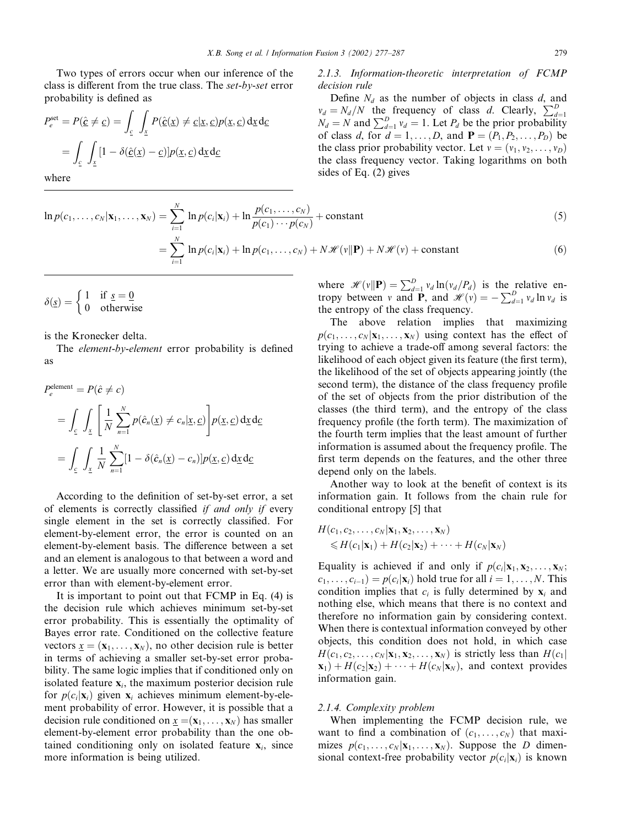Two types of errors occur when our inference of the class is different from the true class. The set-by-set error probability is defined as

$$
P_e^{\text{set}} = P(\hat{\underline{c}} \neq \underline{c}) = \int_{\underline{c}} \int_{\underline{x}} P(\hat{\underline{c}}(\underline{x}) \neq \underline{c} | \underline{x}, \underline{c}) p(\underline{x}, \underline{c}) \, d\underline{x} \, d\underline{c}
$$

$$
= \int_{\underline{c}} \int_{\underline{x}} [1 - \delta(\hat{\underline{c}}(\underline{x}) - \underline{c})] p(\underline{x}, \underline{c}) \, d\underline{x} \, d\underline{c}
$$

where

# $\ln p(c_1,\ldots,c_N | \mathbf{x}_1,\ldots,\mathbf{x}_N) = \sum^N \frac{1}{n}$  $i=1$  $\ln p(c_i|\mathbf{x}_i) + \ln \frac{p(c_1,\ldots,c_N)}{p(c_1)\cdots p(c_N)}$  $=\sum_{i=1}^{N}$  $i=1$

$$
\delta(\underline{s}) = \begin{cases} 1 & \text{if } \underline{s} = \underline{0} \\ 0 & \text{otherwise} \end{cases}
$$

is the Kronecker delta.

The element-by-element error probability is defined as

$$
P_e^{\text{element}} = P(\hat{c} \neq c)
$$
  
= 
$$
\int_{\underline{c}} \int_{\underline{x}} \left[ \frac{1}{N} \sum_{n=1}^N p(\hat{c}_n(\underline{x}) \neq c_n | \underline{x}, \underline{c}) \right] p(\underline{x}, \underline{c}) \, d\underline{x} \, d\underline{c}
$$
  
= 
$$
\int_{\underline{c}} \int_{\underline{x}} \frac{1}{N} \sum_{n=1}^N [1 - \delta(\hat{c}_n(\underline{x}) - c_n)] p(\underline{x}, \underline{c}) \, d\underline{x} \, d\underline{c}
$$

According to the definition of set-by-set error, a set of elements is correctly classified if and only if every single element in the set is correctly classified. For element-by-element error, the error is counted on an element-by-element basis. The difference between a set and an element is analogous to that between a word and a letter. We are usually more concerned with set-by-set error than with element-by-element error.

It is important to point out that FCMP in Eq. (4) is the decision rule which achieves minimum set-by-set error probability. This is essentially the optimality of Bayes error rate. Conditioned on the collective feature vectors  $x = (\mathbf{x}_1, \dots, \mathbf{x}_N)$ , no other decision rule is better in terms of achieving a smaller set-by-set error probability. The same logic implies that if conditioned only on isolated feature  $x_i$ , the maximum posterior decision rule for  $p(c_i|\mathbf{x}_i)$  given  $\mathbf{x}_i$  achieves minimum element-by-element probability of error. However, it is possible that a decision rule conditioned on  $\underline{x} = (x_1, \ldots, x_N)$  has smaller element-by-element error probability than the one obtained conditioning only on isolated feature  $x_i$ , since more information is being utilized.

2.1.3. Information-theoretic interpretation of FCMP decision rule

Define  $N_d$  as the number of objects in class d, and  $v_d = N_d/N$  the frequency of class d. Clearly,  $\sum_{d=1}^{D} N_d = N$  and  $\sum_{d=1}^{D} v_d = 1$ . Let  $P_d$  be the prior probability of class d, for  $d = 1, \ldots, D$ , and  $\mathbf{P} = (P_1, P_2, \ldots, P_D)$  be the class prior probability vector. Let  $v = (v_1, v_2, \ldots, v_D)$ the class frequency vector. Taking logarithms on both sides of Eq. (2) gives

$$
\frac{c_N}{(c_N)} + \text{constant} \tag{5}
$$

$$
= \sum_{i=1}^{N} \ln p(c_i|\mathbf{x}_i) + \ln p(c_1, \dots, c_N) + N\mathcal{H}(v||\mathbf{P}) + N\mathcal{H}(v) + \text{constant}
$$
(6)

where  $\mathcal{H}(v||\mathbf{P}) = \sum_{d=1}^{D} v_d \ln(v_d/P_d)$  is the relative entropy between v and **P**, and  $\mathcal{H}(v) = -\sum_{d=1}^{D} v_d \ln v_d$  is the entropy of the class frequency.

The above relation implies that maximizing  $p(c_1, \ldots, c_N | \mathbf{x}_1, \ldots, \mathbf{x}_N)$  using context has the effect of trying to achieve a trade-off among several factors: the likelihood of each object given its feature (the first term), the likelihood of the set of objects appearing jointly (the second term), the distance of the class frequency profile of the set of objects from the prior distribution of the classes (the third term), and the entropy of the class frequency profile (the forth term). The maximization of the fourth term implies that the least amount of further information is assumed about the frequency profile. The first term depends on the features, and the other three depend only on the labels.

Another way to look at the benefit of context is its information gain. It follows from the chain rule for conditional entropy [5] that

$$
H(c_1, c_2, \ldots, c_N | \mathbf{x}_1, \mathbf{x}_2, \ldots, \mathbf{x}_N)
$$
  
\$\leq H(c\_1 | \mathbf{x}\_1) + H(c\_2 | \mathbf{x}\_2) + \cdots + H(c\_N | \mathbf{x}\_N)\$

Equality is achieved if and only if  $p(c_i|\mathbf{x}_1, \mathbf{x}_2, \dots, \mathbf{x}_N;$  $c_1, \ldots, c_{i-1}$  =  $p(c_i|\mathbf{x}_i)$  hold true for all  $i = 1, \ldots, N$ . This condition implies that  $c_i$  is fully determined by  $\mathbf{x}_i$  and nothing else, which means that there is no context and therefore no information gain by considering context. When there is contextual information conveyed by other objects, this condition does not hold, in which case  $H(c_1, c_2, \ldots, c_N | \mathbf{x}_1, \mathbf{x}_2, \ldots, \mathbf{x}_N)$  is strictly less than  $H(c_1 | \mathbf{x}_2, \ldots, c_N | \mathbf{x}_N)$  $\mathbf{x}_1$  +  $H(c_2|\mathbf{x}_2)$  +  $\cdots$  +  $H(c_N|\mathbf{x}_N)$ , and context provides information gain.

#### 2.1.4. Complexity problem

When implementing the FCMP decision rule, we want to find a combination of  $(c_1, \ldots, c_N)$  that maximizes  $p(c_1, \ldots, c_N | \mathbf{x}_1, \ldots, \mathbf{x}_N)$ . Suppose the D dimensional context-free probability vector  $p(c_i|\mathbf{x}_i)$  is known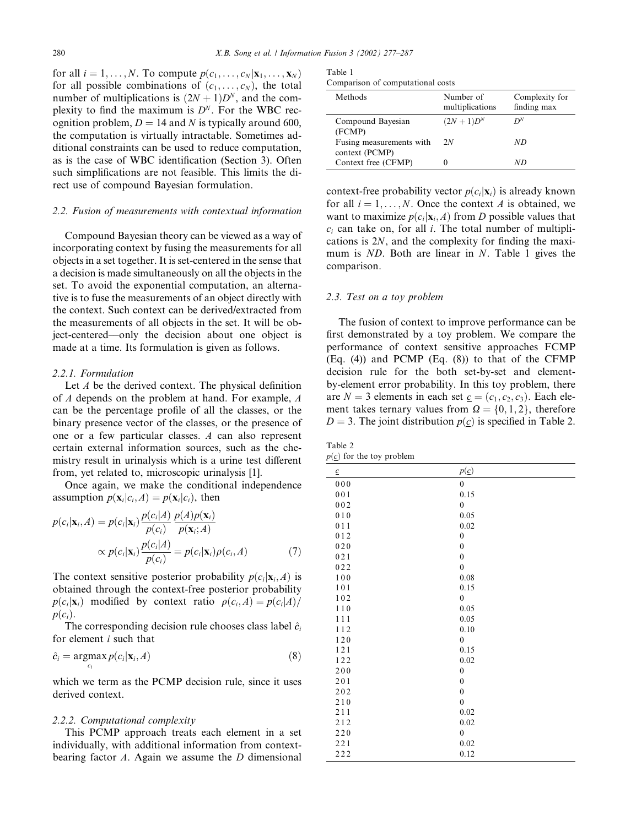for all  $i = 1, \ldots, N$ . To compute  $p(c_1, \ldots, c_N | \mathbf{x}_1, \ldots, \mathbf{x}_N)$ for all possible combinations of  $(c_1, \ldots, c_N)$ , the total number of multiplications is  $(2N + 1)D<sup>N</sup>$ , and the complexity to find the maximum is  $D<sup>N</sup>$ . For the WBC recognition problem,  $D = 14$  and N is typically around 600, the computation is virtually intractable. Sometimes additional constraints can be used to reduce computation, as is the case of WBC identification (Section 3). Often such simplifications are not feasible. This limits the direct use of compound Bayesian formulation.

#### 2.2. Fusion of measurements with contextual information

Compound Bayesian theory can be viewed as a way of incorporating context by fusing the measurements for all objects in a set together. It is set-centered in the sense that a decision is made simultaneously on all the objects in the set. To avoid the exponential computation, an alternative is to fuse the measurements of an object directly with the context. Such context can be derived/extracted from the measurements of all objects in the set. It will be object-centered––only the decision about one object is made at a time. Its formulation is given as follows.

#### 2.2.1. Formulation

Let  $A$  be the derived context. The physical definition of A depends on the problem at hand. For example, A can be the percentage profile of all the classes, or the binary presence vector of the classes, or the presence of one or a few particular classes. A can also represent certain external information sources, such as the chemistry result in urinalysis which is a urine test different from, yet related to, microscopic urinalysis [1].

Once again, we make the conditional independence assumption  $p(\mathbf{x}_i|c_i, A) = p(\mathbf{x}_i|c_i)$ , then

$$
p(c_i|\mathbf{x}_i, A) = p(c_i|\mathbf{x}_i) \frac{p(c_i|A)}{p(c_i)} \frac{p(A)p(\mathbf{x}_i)}{p(\mathbf{x}_i; A)}
$$

$$
\propto p(c_i|\mathbf{x}_i) \frac{p(c_i|A)}{p(c_i)} = p(c_i|\mathbf{x}_i)\rho(c_i, A)
$$
(7)

The context sensitive posterior probability  $p(c_i|\mathbf{x}_i,A)$  is obtained through the context-free posterior probability  $p(c_i|\mathbf{x}_i)$  modified by context ratio  $p(c_i,A) = p(c_i|A)$  $p(c_i)$ .

The corresponding decision rule chooses class label  $\hat{c}_i$ for element i such that

$$
\hat{c}_i = \underset{c_i}{\operatorname{argmax}} p(c_i | \mathbf{x}_i, A) \tag{8}
$$

which we term as the PCMP decision rule, since it uses derived context.

#### 2.2.2. Computational complexity

This PCMP approach treats each element in a set individually, with additional information from contextbearing factor  $A$ . Again we assume the  $D$  dimensional

| Table 1                           |  |
|-----------------------------------|--|
| Comparison of computational costs |  |

| Methods                                    | Number of<br>multiplications | Complexity for<br>finding max |
|--------------------------------------------|------------------------------|-------------------------------|
| Compound Bayesian<br>(FCMP)                | $(2N + 1)D^{N}$              | $D^N$                         |
| Fusing measurements with<br>context (PCMP) | 2N                           | ND                            |
| Context free (CFMP)                        |                              | ND                            |

context-free probability vector  $p(c_i|\mathbf{x}_i)$  is already known for all  $i = 1, \ldots, N$ . Once the context A is obtained, we want to maximize  $p(c_i|\mathbf{x}_i,A)$  from D possible values that  $c_i$  can take on, for all i. The total number of multiplications is 2N, and the complexity for finding the maximum is ND. Both are linear in N. Table 1 gives the comparison.

#### 2.3. Test on a toy problem

The fusion of context to improve performance can be first demonstrated by a toy problem. We compare the performance of context sensitive approaches FCMP (Eq. (4)) and PCMP (Eq. (8)) to that of the CFMP decision rule for the both set-by-set and elementby-element error probability. In this toy problem, there are  $N = 3$  elements in each set  $c = (c_1, c_2, c_3)$ . Each element takes ternary values from  $\Omega = \{0, 1, 2\}$ , therefore  $D = 3$ . The joint distribution  $p(c)$  is specified in Table 2.

Table 2  $p(\underline{c})$  for the toy problem

| $\underline{c}$ | $p(\underline{c})$ |
|-----------------|--------------------|
| 000             | $\mathbf{0}$       |
| 001             | 0.15               |
| $0\,0\,2$       | $\boldsymbol{0}$   |
| 010             | 0.05               |
| $0\;1\;1$       | 0.02               |
| 012             | $\boldsymbol{0}$   |
| $0\,2\,0$       | $\boldsymbol{0}$   |
| 021             | $\mathbf{0}$       |
| 022             | $\mathbf{0}$       |
| $1\,0\,0$       | 0.08               |
| $1\,0\,1$       | 0.15               |
| 102             | $\boldsymbol{0}$   |
| $1\;1\;0$       | 0.05               |
| 111             | 0.05               |
| 112             | 0.10               |
| 120             | $\mathbf{0}$       |
| 121             | 0.15               |
| 122             | 0.02               |
| $200$           | $\boldsymbol{0}$   |
| 201             | $\mathbf{0}$       |
| $202$           | $\mathbf{0}$       |
| 210             | $\mathbf{0}$       |
| 211             | 0.02               |
| 212             | 0.02               |
| 220             | $\boldsymbol{0}$   |
| 221             | 0.02               |
| 222             | 0.12               |
|                 |                    |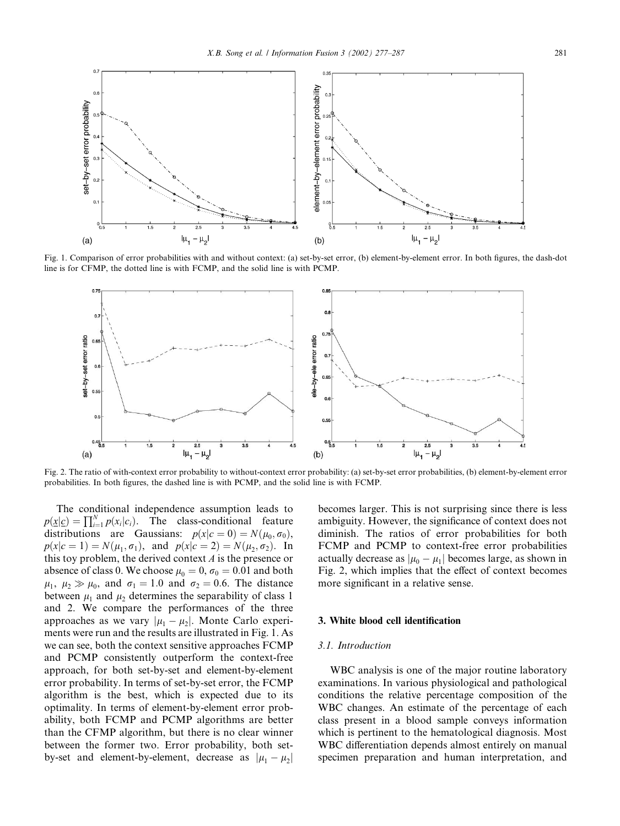

Fig. 1. Comparison of error probabilities with and without context: (a) set-by-set error, (b) element-by-element error. In both figures, the dash-dot line is for CFMP, the dotted line is with FCMP, and the solid line is with PCMP.



Fig. 2. The ratio of with-context error probability to without-context error probability: (a) set-by-set error probabilities, (b) element-by-element error probabilities. In both figures, the dashed line is with PCMP, and the solid line is with FCMP.

The conditional independence assumption leads to  $p(\underline{x}|\underline{c}) = \prod_{i=1}^{N} p(x_i|c_i)$ . The class-conditional feature distributions are Gaussians:  $p(x|c = 0) = N(\mu_0, \sigma_0)$ ,  $p(x|c = 1) = N(\mu_1, \sigma_1)$ , and  $p(x|c = 2) = N(\mu_2, \sigma_2)$ . In this toy problem, the derived context  $A$  is the presence or absence of class 0. We choose  $\mu_0 = 0$ ,  $\sigma_0 = 0.01$  and both  $\mu_1$ ,  $\mu_2 \gg \mu_0$ , and  $\sigma_1 = 1.0$  and  $\sigma_2 = 0.6$ . The distance between  $\mu_1$  and  $\mu_2$  determines the separability of class 1 and 2. We compare the performances of the three approaches as we vary  $|\mu_1 - \mu_2|$ . Monte Carlo experiments were run and the results are illustrated in Fig. 1. As we can see, both the context sensitive approaches FCMP and PCMP consistently outperform the context-free approach, for both set-by-set and element-by-element error probability. In terms of set-by-set error, the FCMP algorithm is the best, which is expected due to its optimality. In terms of element-by-element error probability, both FCMP and PCMP algorithms are better than the CFMP algorithm, but there is no clear winner between the former two. Error probability, both setby-set and element-by-element, decrease as  $|\mu_1 - \mu_2|$  becomes larger. This is not surprising since there is less ambiguity. However, the significance of context does not diminish. The ratios of error probabilities for both FCMP and PCMP to context-free error probabilities actually decrease as  $|\mu_0 - \mu_1|$  becomes large, as shown in Fig. 2, which implies that the effect of context becomes more significant in a relative sense.

# 3. White blood cell identification

#### 3.1. Introduction

WBC analysis is one of the major routine laboratory examinations. In various physiological and pathological conditions the relative percentage composition of the WBC changes. An estimate of the percentage of each class present in a blood sample conveys information which is pertinent to the hematological diagnosis. Most WBC differentiation depends almost entirely on manual specimen preparation and human interpretation, and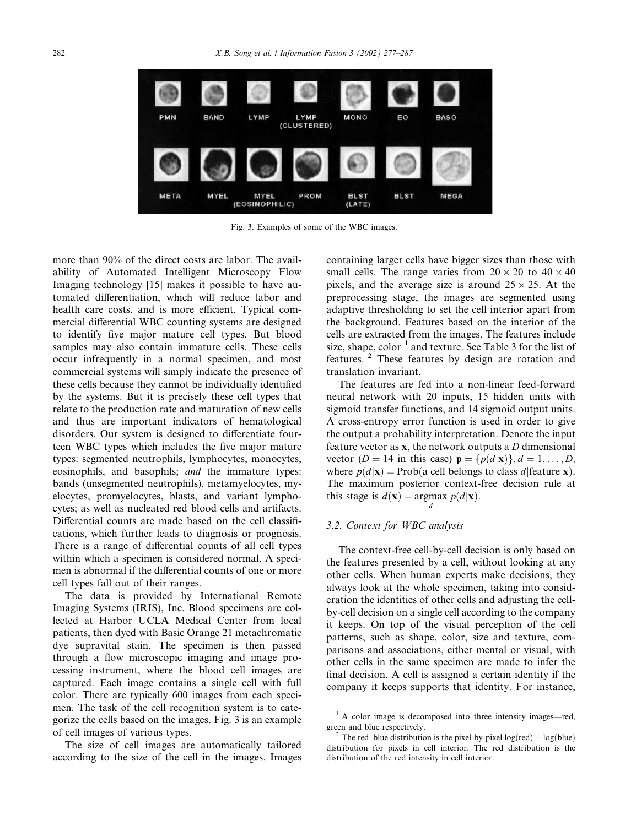

Fig. 3. Examples of some of the WBC images.

more than 90% of the direct costs are labor. The availability of Automated Intelligent Microscopy Flow Imaging technology [15] makes it possible to have automated differentiation, which will reduce labor and health care costs, and is more efficient. Typical commercial differential WBC counting systems are designed to identify five major mature cell types. But blood samples may also contain immature cells. These cells occur infrequently in a normal specimen, and most commercial systems will simply indicate the presence of these cells because they cannot be individually identified by the systems. But it is precisely these cell types that relate to the production rate and maturation of new cells and thus are important indicators of hematological disorders. Our system is designed to differentiate fourteen WBC types which includes the five major mature types: segmented neutrophils, lymphocytes, monocytes, eosinophils, and basophils; and the immature types: bands (unsegmented neutrophils), metamyelocytes, myelocytes, promyelocytes, blasts, and variant lymphocytes; as well as nucleated red blood cells and artifacts. Differential counts are made based on the cell classifications, which further leads to diagnosis or prognosis. There is a range of differential counts of all cell types within which a specimen is considered normal. A specimen is abnormal if the differential counts of one or more cell types fall out of their ranges.

The data is provided by International Remote Imaging Systems (IRIS), Inc. Blood specimens are collected at Harbor UCLA Medical Center from local patients, then dyed with Basic Orange 21 metachromatic dye supravital stain. The specimen is then passed through a flow microscopic imaging and image processing instrument, where the blood cell images are captured. Each image contains a single cell with full color. There are typically 600 images from each specimen. The task of the cell recognition system is to categorize the cells based on the images. Fig. 3 is an example of cell images of various types.

The size of cell images are automatically tailored according to the size of the cell in the images. Images containing larger cells have bigger sizes than those with small cells. The range varies from  $20 \times 20$  to  $40 \times 40$ pixels, and the average size is around  $25 \times 25$ . At the preprocessing stage, the images are segmented using adaptive thresholding to set the cell interior apart from the background. Features based on the interior of the cells are extracted from the images. The features include size, shape, color  $1$  and texture. See Table 3 for the list of features. <sup>2</sup> These features by design are rotation and translation invariant.

The features are fed into a non-linear feed-forward neural network with 20 inputs, 15 hidden units with sigmoid transfer functions, and 14 sigmoid output units. A cross-entropy error function is used in order to give the output a probability interpretation. Denote the input feature vector as x, the network outputs a D dimensional vector (D = 14 in this case)  $\mathbf{p} = \{p(d|\mathbf{x})\}, d = 1, \dots, D$ , where  $p(d|\mathbf{x}) = \text{Prob}(a \text{ cell belongs to class } d | \text{feature } \mathbf{x})$ . The maximum posterior context-free decision rule at this stage is  $d(\mathbf{x}) = \argmax p(d|\mathbf{x})$ . d

# 3.2. Context for WBC analysis

The context-free cell-by-cell decision is only based on the features presented by a cell, without looking at any other cells. When human experts make decisions, they always look at the whole specimen, taking into consideration the identities of other cells and adjusting the cellby-cell decision on a single cell according to the company it keeps. On top of the visual perception of the cell patterns, such as shape, color, size and texture, comparisons and associations, either mental or visual, with other cells in the same specimen are made to infer the final decision. A cell is assigned a certain identity if the company it keeps supports that identity. For instance,

 $<sup>1</sup>$  A color image is decomposed into three intensity images—red,</sup> green and blue respectively.<br><sup>2</sup> The red–blue distribution is the pixel-by-pixel log(red) – log(blue)

distribution for pixels in cell interior. The red distribution is the distribution of the red intensity in cell interior.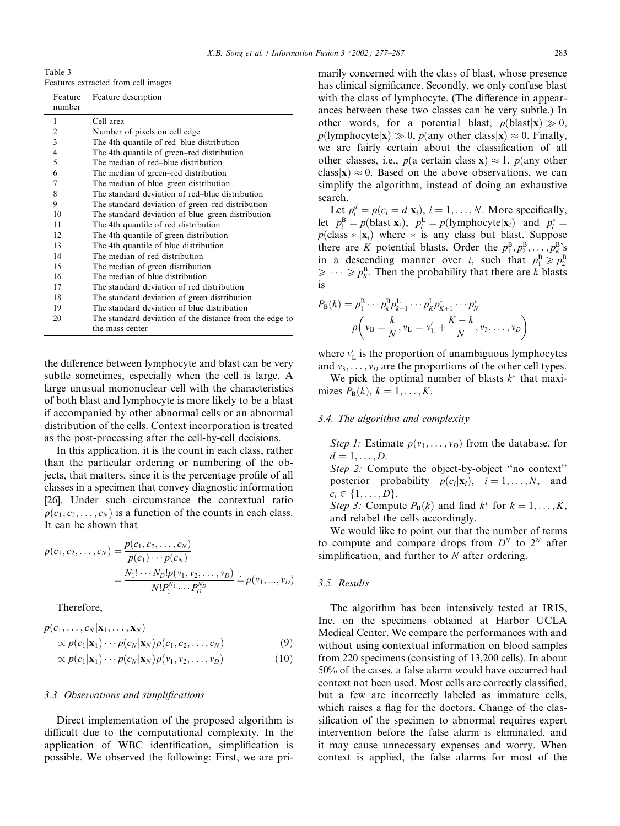Table 3 Features extracted from cell images

| Feature<br>number | Feature description                                     |
|-------------------|---------------------------------------------------------|
| 1                 | Cell area                                               |
| $\overline{2}$    | Number of pixels on cell edge                           |
| 3                 | The 4th quantile of red–blue distribution               |
| $\overline{4}$    | The 4th quantile of green–red distribution              |
| 5                 | The median of red–blue distribution                     |
| 6                 | The median of green–red distribution                    |
| $\overline{7}$    | The median of blue–green distribution                   |
| 8                 | The standard deviation of red–blue distribution         |
| 9                 | The standard deviation of green–red distribution        |
| 10                | The standard deviation of blue–green distribution       |
| 11                | The 4th quantile of red distribution                    |
| 12.               | The 4th quantile of green distribution                  |
| 13                | The 4th quantile of blue distribution                   |
| 14                | The median of red distribution                          |
| 15                | The median of green distribution                        |
| 16                | The median of blue distribution                         |
| 17                | The standard deviation of red distribution              |
| 18                | The standard deviation of green distribution            |
| 19                | The standard deviation of blue distribution             |
| 20                | The standard deviation of the distance from the edge to |
|                   | the mass center                                         |

the difference between lymphocyte and blast can be very subtle sometimes, especially when the cell is large. A large unusual mononuclear cell with the characteristics of both blast and lymphocyte is more likely to be a blast if accompanied by other abnormal cells or an abnormal distribution of the cells. Context incorporation is treated as the post-processing after the cell-by-cell decisions.

In this application, it is the count in each class, rather than the particular ordering or numbering of the objects, that matters, since it is the percentage profile of all classes in a specimen that convey diagnostic information [26]. Under such circumstance the contextual ratio  $\rho(c_1, c_2, \ldots, c_N)$  is a function of the counts in each class. It can be shown that

$$
\rho(c_1, c_2, \dots, c_N) = \frac{p(c_1, c_2, \dots, c_N)}{p(c_1) \cdots p(c_N)} \\
= \frac{N_1! \cdots N_D! p(v_1, v_2, \dots, v_D)}{N! P_1^{N_1} \cdots P_D^{N_D}} \doteq \rho(v_1, \dots, v_D)
$$

Therefore,

$$
p(c_1, \ldots, c_N | \mathbf{x}_1, \ldots, \mathbf{x}_N) \propto p(c_1 | \mathbf{x}_1) \cdots p(c_N | \mathbf{x}_N) \rho(c_1, c_2, \ldots, c_N)
$$
\n(9)

$$
\propto p(c_1|\mathbf{x}_1)\cdots p(c_N|\mathbf{x}_N)\rho(v_1,v_2,\ldots,v_D) \tag{10}
$$

#### 3.3. Observations and simplifications

Direct implementation of the proposed algorithm is difficult due to the computational complexity. In the application of WBC identification, simplification is possible. We observed the following: First, we are primarily concerned with the class of blast, whose presence has clinical significance. Secondly, we only confuse blast with the class of lymphocyte. (The difference in appearances between these two classes can be very subtle.) In other words, for a potential blast,  $p(\text{blast} | \mathbf{x}) \gg 0$ ,  $p$ (lymphocyte $|x| \gg 0$ ,  $p$ (any other class $|x| \approx 0$ . Finally, we are fairly certain about the classification of all other classes, i.e.,  $p(a \text{ certain class}|\mathbf{x}) \approx 1$ ,  $p(\text{any other})$ class  $|x| \approx 0$ . Based on the above observations, we can simplify the algorithm, instead of doing an exhaustive search.

Let  $p_i^d = p(c_i = d|\mathbf{x}_i)$ ,  $i = 1, ..., N$ . More specifically, let  $p_i^{\text{B}} = p(\text{blast} | \mathbf{x}_i)$ ,  $p_i^{\text{L}} = p(\text{lymphocyte} | \mathbf{x}_i)$  and  $p_i^* =$  $p$ (class  $*|x_i\rangle$ ) where  $*$  is any class but blast. Suppose there are K potential blasts. Order the  $p_1^B, p_2^B, \ldots, p_K^B$ 's in a descending manner over *i*, such that  $p_1^B \ge p_2^B$  $\geqslant \cdots \geqslant p_K^B$ . Then the probability that there are k blasts is

$$
P_{\mathbf{B}}(k) = p_1^{\mathbf{B}} \cdots p_k^{\mathbf{B}} p_{k+1}^{\mathbf{L}} \cdots p_K^{\mathbf{L}} p_{K+1}^* \cdots p_N^*
$$
  

$$
\rho \left( v_{\mathbf{B}} = \frac{k}{N}, v_{\mathbf{L}} = v_{\mathbf{L}}' + \frac{K - k}{N}, v_3, \dots, v_D \right)
$$

where  $v'_{L}$  is the proportion of unambiguous lymphocytes and  $v_3, \ldots, v_D$  are the proportions of the other cell types.

We pick the optimal number of blasts  $k^*$  that maximizes  $P_{\text{B}}(k)$ ,  $k = 1, \ldots, K$ .

# 3.4. The algorithm and complexity

Step 1: Estimate  $\rho(v_1, \ldots, v_D)$  from the database, for  $d = 1, \ldots, D$ .

Step 2: Compute the object-by-object ''no context'' posterior probability  $p(c_i|\mathbf{x}_i)$ ,  $i = 1, ..., N$ , and  $c_i \in \{1, \ldots, D\}.$ 

Step 3: Compute  $P_B(k)$  and find  $k^*$  for  $k = 1, ..., K$ , and relabel the cells accordingly.

We would like to point out that the number of terms to compute and compare drops from  $D^N$  to  $2^N$  after simplification, and further to  $N$  after ordering.

#### 3.5. Results

The algorithm has been intensively tested at IRIS, Inc. on the specimens obtained at Harbor UCLA Medical Center. We compare the performances with and without using contextual information on blood samples from 220 specimens (consisting of 13,200 cells). In about 50% of the cases, a false alarm would have occurred had context not been used. Most cells are correctly classified, but a few are incorrectly labeled as immature cells, which raises a flag for the doctors. Change of the classification of the specimen to abnormal requires expert intervention before the false alarm is eliminated, and it may cause unnecessary expenses and worry. When context is applied, the false alarms for most of the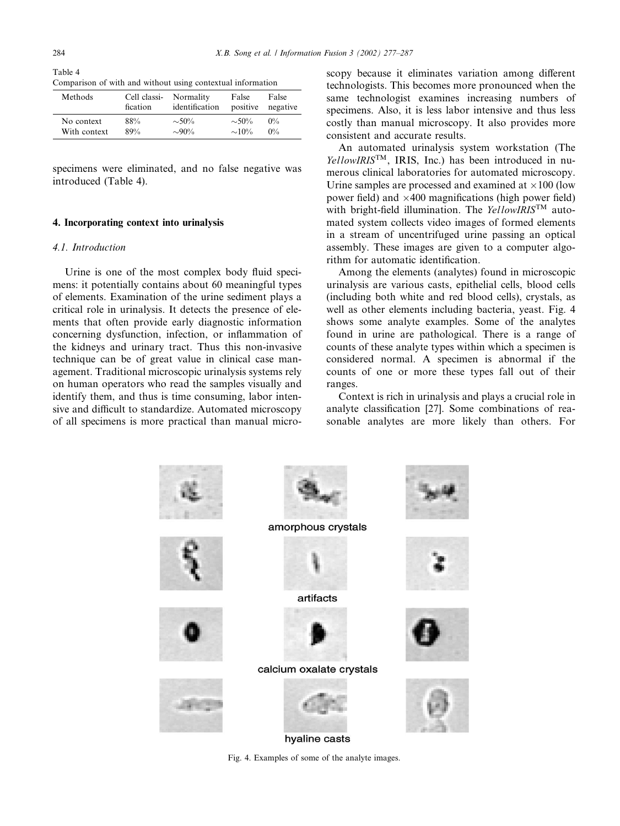Table 4 Comparison of with and without using contextual information

| Methods      | Cell classi- | Normality      | False       | False    |
|--------------|--------------|----------------|-------------|----------|
|              | fication     | identification | positive    | negative |
| No context   | 88%          | $\sim 50\%$    | $\sim 50\%$ | $0\%$    |
| With context | 89%          | $\sim 90\%$    | $\sim 10\%$ | $0\%$    |

specimens were eliminated, and no false negative was introduced (Table 4).

# 4. Incorporating context into urinalysis

# 4.1. Introduction

Urine is one of the most complex body fluid specimens: it potentially contains about 60 meaningful types of elements. Examination of the urine sediment plays a critical role in urinalysis. It detects the presence of elements that often provide early diagnostic information concerning dysfunction, infection, or inflammation of the kidneys and urinary tract. Thus this non-invasive technique can be of great value in clinical case management. Traditional microscopic urinalysis systems rely on human operators who read the samples visually and identify them, and thus is time consuming, labor intensive and difficult to standardize. Automated microscopy of all specimens is more practical than manual microscopy because it eliminates variation among different technologists. This becomes more pronounced when the same technologist examines increasing numbers of specimens. Also, it is less labor intensive and thus less costly than manual microscopy. It also provides more consistent and accurate results.

An automated urinalysis system workstation (The  $YellowIRIS<sup>TM</sup>$ , IRIS, Inc.) has been introduced in numerous clinical laboratories for automated microscopy. Urine samples are processed and examined at  $\times 100$  (low power field) and  $\times$ 400 magnifications (high power field) with bright-field illumination. The YellowIRISTM automated system collects video images of formed elements in a stream of uncentrifuged urine passing an optical assembly. These images are given to a computer algorithm for automatic identification.

Among the elements (analytes) found in microscopic urinalysis are various casts, epithelial cells, blood cells (including both white and red blood cells), crystals, as well as other elements including bacteria, yeast. Fig. 4 shows some analyte examples. Some of the analytes found in urine are pathological. There is a range of counts of these analyte types within which a specimen is considered normal. A specimen is abnormal if the counts of one or more these types fall out of their ranges.

Context is rich in urinalysis and plays a crucial role in analyte classification [27]. Some combinations of reasonable analytes are more likely than others. For

amorphous crystals artifacts calcium oxalate crystals hyaline casts

Fig. 4. Examples of some of the analyte images.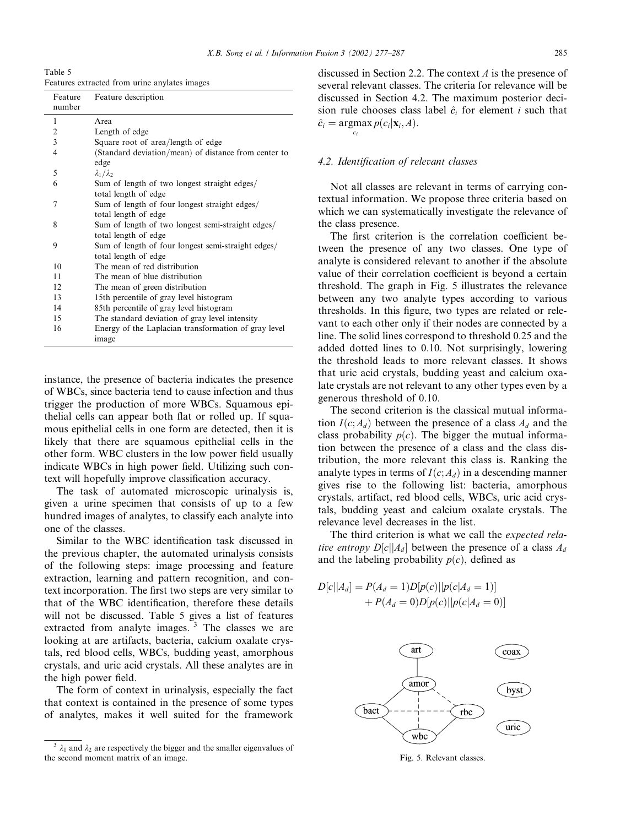Table 5

| Features extracted from urine anylates images |  |  |
|-----------------------------------------------|--|--|
|                                               |  |  |
|                                               |  |  |

| Feature<br>number | Feature description                                  |
|-------------------|------------------------------------------------------|
| 1                 | Area                                                 |
| 2                 | Length of edge                                       |
| 3                 | Square root of area/length of edge                   |
| 4                 | (Standard deviation/mean) of distance from center to |
|                   | edge                                                 |
| 5                 | $\lambda_1/\lambda_2$                                |
| 6                 | Sum of length of two longest straight edges/         |
|                   | total length of edge                                 |
| 7                 | Sum of length of four longest straight edges/        |
|                   | total length of edge                                 |
| 8                 | Sum of length of two longest semi-straight edges/    |
|                   | total length of edge                                 |
| 9                 | Sum of length of four longest semi-straight edges/   |
|                   | total length of edge                                 |
| 10                | The mean of red distribution                         |
| 11                | The mean of blue distribution                        |
| 12.               | The mean of green distribution                       |
| 13                | 15th percentile of gray level histogram              |
| 14                | 85th percentile of gray level histogram              |
| 15                | The standard deviation of gray level intensity       |
| 16                | Energy of the Laplacian transformation of gray level |
|                   | image                                                |

instance, the presence of bacteria indicates the presence of WBCs, since bacteria tend to cause infection and thus trigger the production of more WBCs. Squamous epithelial cells can appear both flat or rolled up. If squamous epithelial cells in one form are detected, then it is likely that there are squamous epithelial cells in the other form. WBC clusters in the low power field usually indicate WBCs in high power field. Utilizing such context will hopefully improve classification accuracy.

The task of automated microscopic urinalysis is, given a urine specimen that consists of up to a few hundred images of analytes, to classify each analyte into one of the classes.

Similar to the WBC identification task discussed in the previous chapter, the automated urinalysis consists of the following steps: image processing and feature extraction, learning and pattern recognition, and context incorporation. The first two steps are very similar to that of the WBC identification, therefore these details will not be discussed. Table 5 gives a list of features extracted from analyte images.  $3$  The classes we are looking at are artifacts, bacteria, calcium oxalate crystals, red blood cells, WBCs, budding yeast, amorphous crystals, and uric acid crystals. All these analytes are in the high power field.

The form of context in urinalysis, especially the fact that context is contained in the presence of some types of analytes, makes it well suited for the framework

discussed in Section 2.2. The context A is the presence of several relevant classes. The criteria for relevance will be discussed in Section 4.2. The maximum posterior decision rule chooses class label  $\hat{c}_i$  for element i such that  $\hat{c}_i = \operatorname{argmax} p(c_i|\mathbf{x}_i, A).$ 

ci

# 4.2. Identification of relevant classes

Not all classes are relevant in terms of carrying contextual information. We propose three criteria based on which we can systematically investigate the relevance of the class presence.

The first criterion is the correlation coefficient between the presence of any two classes. One type of analyte is considered relevant to another if the absolute value of their correlation coefficient is beyond a certain threshold. The graph in Fig. 5 illustrates the relevance between any two analyte types according to various thresholds. In this figure, two types are related or relevant to each other only if their nodes are connected by a line. The solid lines correspond to threshold 0.25 and the added dotted lines to 0.10. Not surprisingly, lowering the threshold leads to more relevant classes. It shows that uric acid crystals, budding yeast and calcium oxalate crystals are not relevant to any other types even by a generous threshold of 0.10.

The second criterion is the classical mutual information  $I(c; A_d)$  between the presence of a class  $A_d$  and the class probability  $p(c)$ . The bigger the mutual information between the presence of a class and the class distribution, the more relevant this class is. Ranking the analyte types in terms of  $I(c; A_d)$  in a descending manner gives rise to the following list: bacteria, amorphous crystals, artifact, red blood cells, WBCs, uric acid crystals, budding yeast and calcium oxalate crystals. The relevance level decreases in the list.

The third criterion is what we call the *expected rela*tive entropy  $D[c||A_d]$  between the presence of a class  $A_d$ and the labeling probability  $p(c)$ , defined as

$$
D[c||A_d] = P(A_d = 1)D[p(c)||p(c|A_d = 1)] + P(A_d = 0)D[p(c)||p(c|A_d = 0)]
$$



 $3 \lambda_1$  and  $\lambda_2$  are respectively the bigger and the smaller eigenvalues of the second moment matrix of an image. Fig. 5. Relevant classes. Fig. 5. Relevant classes.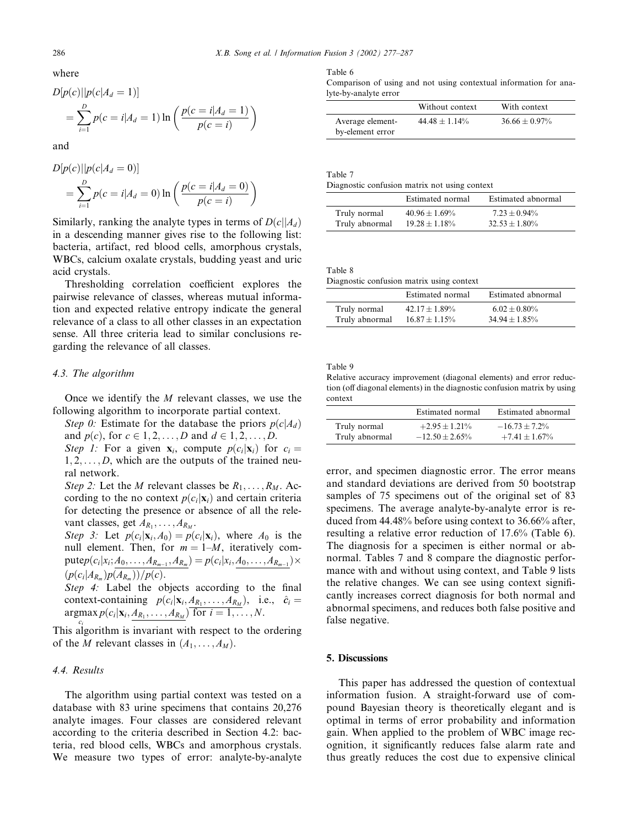where

$$
D[p(c)||p(c|A_d = 1)]
$$
  
=  $\sum_{i=1}^{D} p(c = i|A_d = 1) \ln \left( \frac{p(c = i|A_d = 1)}{p(c = i)} \right)$ 

and

$$
D[p(c)||p(c|A_d = 0)]
$$
  
=  $\sum_{i=1}^{D} p(c = i|A_d = 0) \ln \left( \frac{p(c = i|A_d = 0)}{p(c = i)} \right)$ 

Similarly, ranking the analyte types in terms of  $D(c||A_d)$ in a descending manner gives rise to the following list: bacteria, artifact, red blood cells, amorphous crystals, WBCs, calcium oxalate crystals, budding yeast and uric acid crystals.

Thresholding correlation coefficient explores the pairwise relevance of classes, whereas mutual information and expected relative entropy indicate the general relevance of a class to all other classes in an expectation sense. All three criteria lead to similar conclusions regarding the relevance of all classes.

# 4.3. The algorithm

Once we identify the  $M$  relevant classes, we use the following algorithm to incorporate partial context.

Step 0: Estimate for the database the priors  $p(c|A_d)$ and  $p(c)$ , for  $c \in 1, 2, ..., D$  and  $d \in 1, 2, ..., D$ .

Step 1: For a given  $x_i$ , compute  $p(c_i|x_i)$  for  $c_i =$  $1, 2, \ldots, D$ , which are the outputs of the trained neural network.

Step 2: Let the M relevant classes be  $R_1, \ldots, R_M$ . According to the no context  $p(c_i|\mathbf{x}_i)$  and certain criteria for detecting the presence or absence of all the relevant classes, get  $A_{R_1}, \ldots, A_{R_M}$ .

Step 3: Let  $p(c_i|\mathbf{x}_i,A_0) = p(c_i|\mathbf{x}_i)$ , where  $A_0$  is the null element. Then, for  $m = 1-M$ , iteratively compute $p(c_i|x_i;A_0,\ldots,A_{R_{m-1}},A_{R_m}) = p(c_i|x_i,A_0,\ldots,A_{R_{m-1}}) \times$  $(p(c_i|A_{R_m})p(A_{R_m}))/p(c)$ .

Step 4: Label the objects according to the final context-containing  $p(c_i|\mathbf{x}_i, A_{R_1}, \dots, A_{R_M})$ , i.e.,  $\hat{c}_i$  =  $argmax p(c_i|\mathbf{x}_i, A_{R_1}, \ldots, A_{R_M})$  for  $i = 1, \ldots, N$ .

This algorithm is invariant with respect to the ordering of the *M* relevant classes in  $(A_1, \ldots, A_M)$ .

# 4.4. Results

The algorithm using partial context was tested on a database with 83 urine specimens that contains 20,276 analyte images. Four classes are considered relevant according to the criteria described in Section 4.2: bacteria, red blood cells, WBCs and amorphous crystals. We measure two types of error: analyte-by-analyte

Table 6

Comparison of using and not using contextual information for analyte-by-analyte error

|                                      | Without context    | With context       |
|--------------------------------------|--------------------|--------------------|
| Average element-<br>by-element error | $44.48 \pm 1.14\%$ | $36.66 \pm 0.97\%$ |

| Table 7                                       |  |  |  |
|-----------------------------------------------|--|--|--|
| Diagnostic confusion matrix not using context |  |  |  |

|                | Estimated normal   | Estimated abnormal |
|----------------|--------------------|--------------------|
| Truly normal   | $40.96 \pm 1.69\%$ | $7.23 \pm 0.94\%$  |
| Truly abnormal | $19.28 \pm 1.18\%$ | $32.53 \pm 1.80\%$ |

| Table 8 |  |  |
|---------|--|--|
|         |  |  |

| Diagnostic confusion matrix using context |  |  |
|-------------------------------------------|--|--|

|                | Estimated normal   | Estimated abnormal |
|----------------|--------------------|--------------------|
| Truly normal   | $42.17 \pm 1.89\%$ | $6.02 \pm 0.80\%$  |
| Truly abnormal | $16.87 \pm 1.15\%$ | $34.94 + 1.85\%$   |

Table 9

Relative accuracy improvement (diagonal elements) and error reduction (off diagonal elements) in the diagnostic confusion matrix by using context

|                | Estimated normal    | Estimated abnormal |
|----------------|---------------------|--------------------|
| Truly normal   | $+2.95 \pm 1.21\%$  | $-16.73 + 7.2\%$   |
| Truly abnormal | $-12.50 \pm 2.65\%$ | $+7.41 \pm 1.67\%$ |

error, and specimen diagnostic error. The error means and standard deviations are derived from 50 bootstrap samples of 75 specimens out of the original set of 83 specimens. The average analyte-by-analyte error is reduced from 44.48% before using context to 36.66% after, resulting a relative error reduction of 17.6% (Table 6). The diagnosis for a specimen is either normal or abnormal. Tables 7 and 8 compare the diagnostic performance with and without using context, and Table 9 lists the relative changes. We can see using context significantly increases correct diagnosis for both normal and abnormal specimens, and reduces both false positive and false negative.

#### 5. Discussions

This paper has addressed the question of contextual information fusion. A straight-forward use of compound Bayesian theory is theoretically elegant and is optimal in terms of error probability and information gain. When applied to the problem of WBC image recognition, it significantly reduces false alarm rate and thus greatly reduces the cost due to expensive clinical